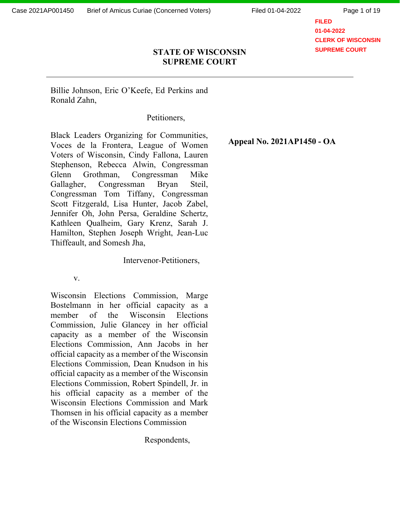Page 1 of 19

**FILED 01-04-2022 CLERK OF WISCONSIN SUPREME COURT**

### STATE OF WISCONSIN SUPREME COURT

Billie Johnson, Eric O'Keefe, Ed Perkins and Ronald Zahn,

Petitioners,

Black Leaders Organizing for Communities, Voces de la Frontera, League of Women Voters of Wisconsin, Cindy Fallona, Lauren Stephenson, Rebecca Alwin, Congressman Glenn Grothman, Congressman Mike Gallagher, Congressman Bryan Steil, Congressman Tom Tiffany, Congressman Scott Fitzgerald, Lisa Hunter, Jacob Zabel, Jennifer Oh, John Persa, Geraldine Schertz, Kathleen Qualheim, Gary Krenz, Sarah J. Hamilton, Stephen Joseph Wright, Jean-Luc Thiffeault, and Somesh Jha,

Intervenor-Petitioners,

v.

Wisconsin Elections Commission, Marge Bostelmann in her official capacity as a member of the Wisconsin Elections Commission, Julie Glancey in her official capacity as a member of the Wisconsin Elections Commission, Ann Jacobs in her official capacity as a member of the Wisconsin Elections Commission, Dean Knudson in his official capacity as a member of the Wisconsin Elections Commission, Robert Spindell, Jr. in his official capacity as a member of the Wisconsin Elections Commission and Mark Thomsen in his official capacity as a member of the Wisconsin Elections Commission

Respondents,

Appeal No. 2021AP1450 - OA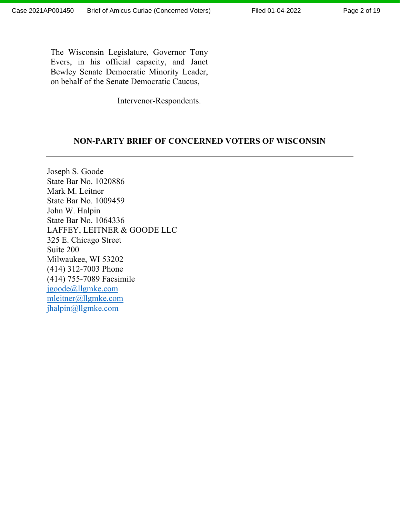The Wisconsin Legislature, Governor Tony Evers, in his official capacity, and Janet Bewley Senate Democratic Minority Leader, on behalf of the Senate Democratic Caucus,

Intervenor-Respondents.

#### NON-PARTY BRIEF OF CONCERNED VOTERS OF WISCONSIN

Joseph S. Goode State Bar No. 1020886 Mark M. Leitner State Bar No. 1009459 John W. Halpin State Bar No. 1064336 LAFFEY, LEITNER & GOODE LLC 325 E. Chicago Street Suite 200 Milwaukee, WI 53202 (414) 312-7003 Phone (414) 755-7089 Facsimile jgoode@llgmke.com mleitner@llgmke.com jhalpin@llgmke.com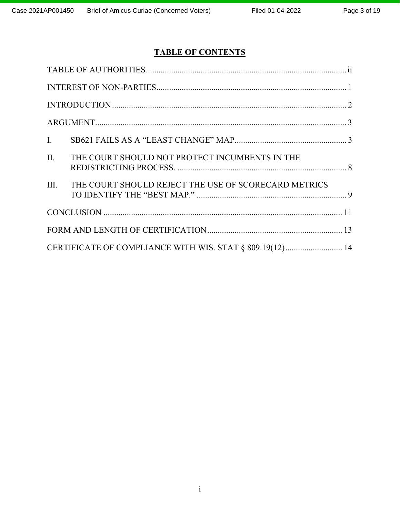# TABLE OF CONTENTS

| $\mathbf{I}$ .                                           |                                                      |  |  |
|----------------------------------------------------------|------------------------------------------------------|--|--|
| II.                                                      | THE COURT SHOULD NOT PROTECT INCUMBENTS IN THE       |  |  |
| III.                                                     | THE COURT SHOULD REJECT THE USE OF SCORECARD METRICS |  |  |
|                                                          |                                                      |  |  |
|                                                          |                                                      |  |  |
| CERTIFICATE OF COMPLIANCE WITH WIS. STAT § 809.19(12) 14 |                                                      |  |  |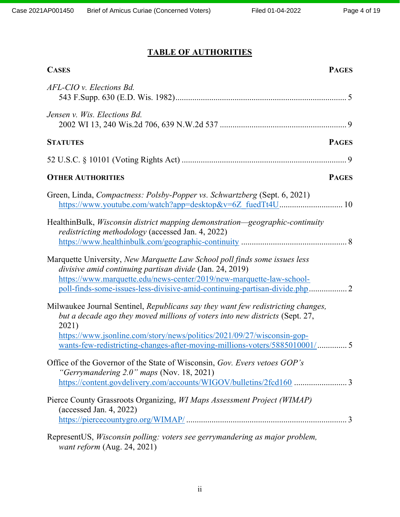# TABLE OF AUTHORITIES

| <b>CASES</b><br><b>PAGES</b>                                                                                                                                                                                                                        |  |  |
|-----------------------------------------------------------------------------------------------------------------------------------------------------------------------------------------------------------------------------------------------------|--|--|
| AFL-CIO v. Elections Bd.                                                                                                                                                                                                                            |  |  |
| Jensen v. Wis. Elections Bd.                                                                                                                                                                                                                        |  |  |
| <b>STATUTES</b><br><b>PAGES</b>                                                                                                                                                                                                                     |  |  |
|                                                                                                                                                                                                                                                     |  |  |
| <b>OTHER AUTHORITIES</b><br><b>PAGES</b>                                                                                                                                                                                                            |  |  |
| Green, Linda, Compactness: Polsby-Popper vs. Schwartzberg (Sept. 6, 2021)<br>https://www.youtube.com/watch?app=desktop&v=6Z fuedTt4U 10                                                                                                             |  |  |
| HealthinBulk, <i>Wisconsin district mapping demonstration—geographic-continuity</i><br>redistricting methodology (accessed Jan. 4, 2022)                                                                                                            |  |  |
| Marquette University, New Marquette Law School poll finds some issues less<br>divisive amid continuing partisan divide (Jan. 24, 2019)<br>https://www.marquette.edu/news-center/2019/new-marquette-law-school-                                      |  |  |
| Milwaukee Journal Sentinel, Republicans say they want few redistricting changes,<br>but a decade ago they moved millions of voters into new districts (Sept. 27,<br>2021)<br>https://www.jsonline.com/story/news/politics/2021/09/27/wisconsin-gop- |  |  |
| Office of the Governor of the State of Wisconsin, Gov. Evers vetoes GOP's<br>"Gerrymandering $2.0$ " maps (Nov. 18, 2021)<br>https://content.govdelivery.com/accounts/WIGOV/bulletins/2fcd160 3                                                     |  |  |
| Pierce County Grassroots Organizing, WI Maps Assessment Project (WIMAP)<br>(accessed Jan. 4, 2022)                                                                                                                                                  |  |  |
| RepresentUS, Wisconsin polling: voters see gerrymandering as major problem,<br>want reform (Aug. 24, 2021)                                                                                                                                          |  |  |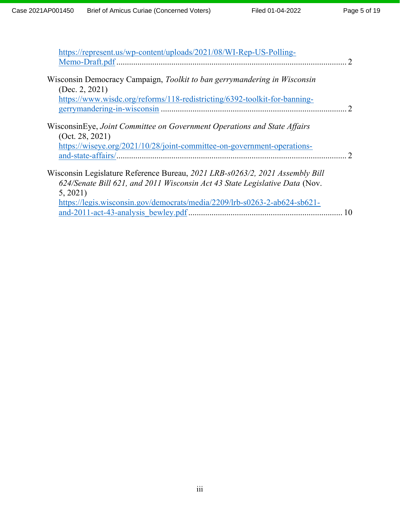| https://represent.us/wp-content/uploads/2021/08/WI-Rep-US-Polling-                                                                                                      |  |
|-------------------------------------------------------------------------------------------------------------------------------------------------------------------------|--|
|                                                                                                                                                                         |  |
| Wisconsin Democracy Campaign, Toolkit to ban gerrymandering in Wisconsin<br>(Dec. 2, 2021)<br>https://www.wisdc.org/reforms/118-redistricting/6392-toolkit-for-banning- |  |
|                                                                                                                                                                         |  |
| WisconsinEye, Joint Committee on Government Operations and State Affairs<br>(Oct. 28, 2021)                                                                             |  |
| https://wiseye.org/2021/10/28/joint-committee-on-government-operations-                                                                                                 |  |
|                                                                                                                                                                         |  |
| Wisconsin Legislature Reference Bureau, 2021 LRB-s0263/2, 2021 Assembly Bill                                                                                            |  |
| 624/Senate Bill 621, and 2011 Wisconsin Act 43 State Legislative Data (Nov.                                                                                             |  |
| 5, 2021)                                                                                                                                                                |  |
| https://legis.wisconsin.gov/democrats/media/2209/lrb-s0263-2-ab624-sb621-                                                                                               |  |
|                                                                                                                                                                         |  |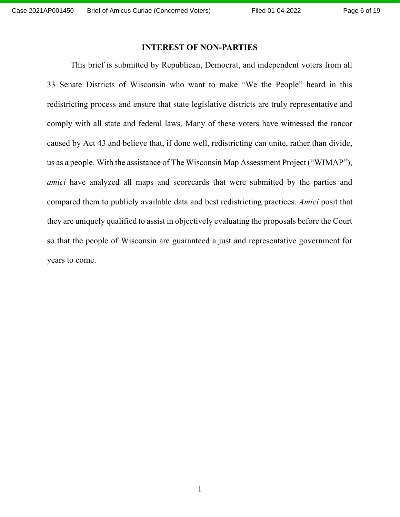#### INTEREST OF NON-PARTIES

This brief is submitted by Republican, Democrat, and independent voters from all 33 Senate Districts of Wisconsin who want to make "We the People" heard in this redistricting process and ensure that state legislative districts are truly representative and comply with all state and federal laws. Many of these voters have witnessed the rancor caused by Act 43 and believe that, if done well, redistricting can unite, rather than divide, us as a people. With the assistance of The Wisconsin Map Assessment Project ("WIMAP"), amici have analyzed all maps and scorecards that were submitted by the parties and compared them to publicly available data and best redistricting practices. Amici posit that they are uniquely qualified to assist in objectively evaluating the proposals before the Court so that the people of Wisconsin are guaranteed a just and representative government for years to come.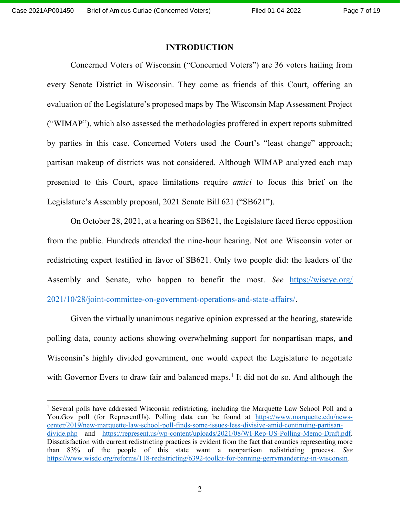#### INTRODUCTION

Concerned Voters of Wisconsin ("Concerned Voters") are 36 voters hailing from every Senate District in Wisconsin. They come as friends of this Court, offering an evaluation of the Legislature's proposed maps by The Wisconsin Map Assessment Project ("WIMAP"), which also assessed the methodologies proffered in expert reports submitted by parties in this case. Concerned Voters used the Court's "least change" approach; partisan makeup of districts was not considered. Although WIMAP analyzed each map presented to this Court, space limitations require amici to focus this brief on the Legislature's Assembly proposal, 2021 Senate Bill 621 ("SB621").

On October 28, 2021, at a hearing on SB621, the Legislature faced fierce opposition from the public. Hundreds attended the nine-hour hearing. Not one Wisconsin voter or redistricting expert testified in favor of SB621. Only two people did: the leaders of the Assembly and Senate, who happen to benefit the most. See https://wiseye.org/ 2021/10/28/joint-committee-on-government-operations-and-state-affairs/.

Given the virtually unanimous negative opinion expressed at the hearing, statewide polling data, county actions showing overwhelming support for nonpartisan maps, and Wisconsin's highly divided government, one would expect the Legislature to negotiate with Governor Evers to draw fair and balanced maps.<sup>1</sup> It did not do so. And although the

<sup>&</sup>lt;sup>1</sup> Several polls have addressed Wisconsin redistricting, including the Marquette Law School Poll and a You.Gov poll (for RepresentUs). Polling data can be found at https://www.marquette.edu/newscenter/2019/new-marquette-law-school-poll-finds-some-issues-less-divisive-amid-continuing-partisandivide.php and https://represent.us/wp-content/uploads/2021/08/WI-Rep-US-Polling-Memo-Draft.pdf. Dissatisfaction with current redistricting practices is evident from the fact that counties representing more than 83% of the people of this state want a nonpartisan redistricting process. See https://www.wisdc.org/reforms/118-redistricting/6392-toolkit-for-banning-gerrymandering-in-wisconsin.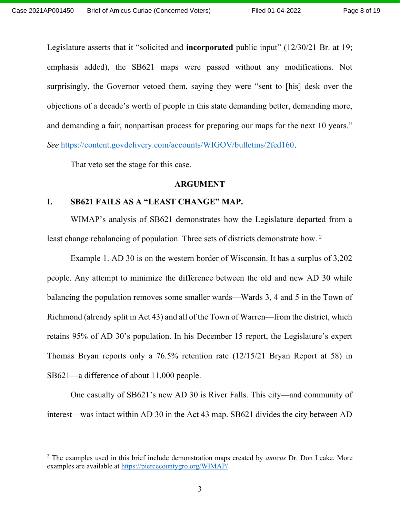Legislature asserts that it "solicited and **incorporated** public input" (12/30/21 Br. at 19; emphasis added), the SB621 maps were passed without any modifications. Not surprisingly, the Governor vetoed them, saying they were "sent to [his] desk over the objections of a decade's worth of people in this state demanding better, demanding more, and demanding a fair, nonpartisan process for preparing our maps for the next 10 years." See https://content.govdelivery.com/accounts/WIGOV/bulletins/2fcd160.

That veto set the stage for this case.

#### ARGUMENT

#### I. SB621 FAILS AS A "LEAST CHANGE" MAP.

WIMAP's analysis of SB621 demonstrates how the Legislature departed from a least change rebalancing of population. Three sets of districts demonstrate how.<sup>2</sup>

Example 1. AD 30 is on the western border of Wisconsin. It has a surplus of 3,202 people. Any attempt to minimize the difference between the old and new AD 30 while balancing the population removes some smaller wards—Wards 3, 4 and 5 in the Town of Richmond (already split in Act 43) and all of the Town of Warren—from the district, which retains 95% of AD 30's population. In his December 15 report, the Legislature's expert Thomas Bryan reports only a 76.5% retention rate (12/15/21 Bryan Report at 58) in SB621—a difference of about 11,000 people.

One casualty of SB621's new AD 30 is River Falls. This city—and community of interest—was intact within AD 30 in the Act 43 map. SB621 divides the city between AD

 $2$  The examples used in this brief include demonstration maps created by *amicus* Dr. Don Leake. More examples are available at https://piercecountygro.org/WIMAP/.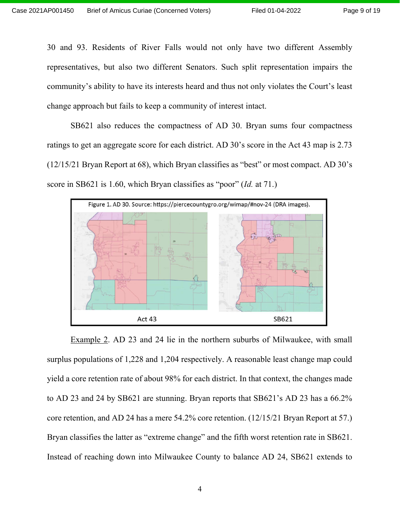30 and 93. Residents of River Falls would not only have two different Assembly representatives, but also two different Senators. Such split representation impairs the community's ability to have its interests heard and thus not only violates the Court's least change approach but fails to keep a community of interest intact.

SB621 also reduces the compactness of AD 30. Bryan sums four compactness ratings to get an aggregate score for each district. AD 30's score in the Act 43 map is 2.73 (12/15/21 Bryan Report at 68), which Bryan classifies as "best" or most compact. AD 30's score in SB621 is 1.60, which Bryan classifies as "poor" (Id. at 71.)



Example 2. AD 23 and 24 lie in the northern suburbs of Milwaukee, with small surplus populations of 1,228 and 1,204 respectively. A reasonable least change map could yield a core retention rate of about 98% for each district. In that context, the changes made to AD 23 and 24 by SB621 are stunning. Bryan reports that SB621's AD 23 has a 66.2% core retention, and AD 24 has a mere 54.2% core retention. (12/15/21 Bryan Report at 57.) Bryan classifies the latter as "extreme change" and the fifth worst retention rate in SB621. Instead of reaching down into Milwaukee County to balance AD 24, SB621 extends to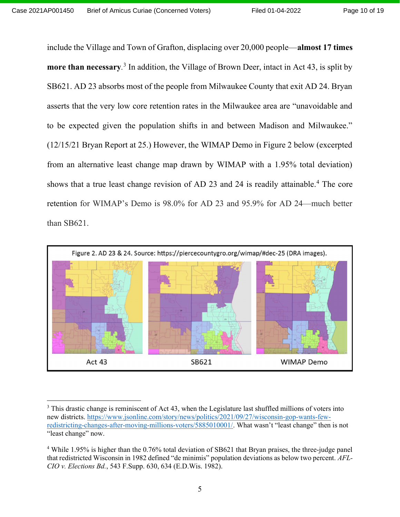include the Village and Town of Grafton, displacing over 20,000 people—almost 17 times more than necessary.<sup>3</sup> In addition, the Village of Brown Deer, intact in Act 43, is split by SB621. AD 23 absorbs most of the people from Milwaukee County that exit AD 24. Bryan asserts that the very low core retention rates in the Milwaukee area are "unavoidable and to be expected given the population shifts in and between Madison and Milwaukee." (12/15/21 Bryan Report at 25.) However, the WIMAP Demo in Figure 2 below (excerpted from an alternative least change map drawn by WIMAP with a 1.95% total deviation) shows that a true least change revision of AD 23 and 24 is readily attainable.<sup>4</sup> The core retention for WIMAP's Demo is 98.0% for AD 23 and 95.9% for AD 24—much better than SB621.



 $3$  This drastic change is reminiscent of Act 43, when the Legislature last shuffled millions of voters into new districts. https://www.jsonline.com/story/news/politics/2021/09/27/wisconsin-gop-wants-fewredistricting-changes-after-moving-millions-voters/5885010001/. What wasn't "least change" then is not "least change" now.

<sup>&</sup>lt;sup>4</sup> While 1.95% is higher than the 0.76% total deviation of SB621 that Bryan praises, the three-judge panel that redistricted Wisconsin in 1982 defined "de minimis" population deviations as below two percent. AFL-CIO v. Elections Bd., 543 F.Supp. 630, 634 (E.D.Wis. 1982).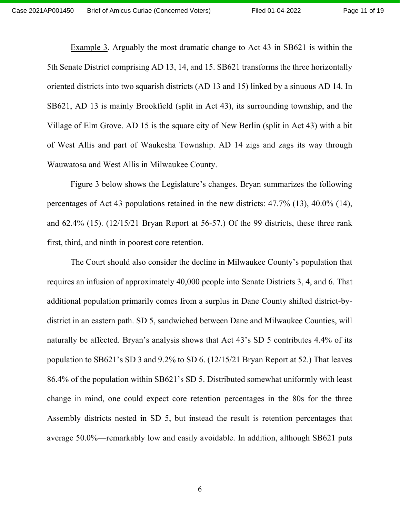Example 3. Arguably the most dramatic change to Act 43 in SB621 is within the 5th Senate District comprising AD 13, 14, and 15. SB621 transforms the three horizontally oriented districts into two squarish districts (AD 13 and 15) linked by a sinuous AD 14. In SB621, AD 13 is mainly Brookfield (split in Act 43), its surrounding township, and the Village of Elm Grove. AD 15 is the square city of New Berlin (split in Act 43) with a bit of West Allis and part of Waukesha Township. AD 14 zigs and zags its way through Wauwatosa and West Allis in Milwaukee County.

Figure 3 below shows the Legislature's changes. Bryan summarizes the following percentages of Act 43 populations retained in the new districts: 47.7% (13), 40.0% (14), and 62.4% (15). (12/15/21 Bryan Report at 56-57.) Of the 99 districts, these three rank first, third, and ninth in poorest core retention.

The Court should also consider the decline in Milwaukee County's population that requires an infusion of approximately 40,000 people into Senate Districts 3, 4, and 6. That additional population primarily comes from a surplus in Dane County shifted district-bydistrict in an eastern path. SD 5, sandwiched between Dane and Milwaukee Counties, will naturally be affected. Bryan's analysis shows that Act 43's SD 5 contributes 4.4% of its population to SB621's SD 3 and 9.2% to SD 6. (12/15/21 Bryan Report at 52.) That leaves 86.4% of the population within SB621's SD 5. Distributed somewhat uniformly with least change in mind, one could expect core retention percentages in the 80s for the three Assembly districts nested in SD 5, but instead the result is retention percentages that average 50.0%—remarkably low and easily avoidable. In addition, although SB621 puts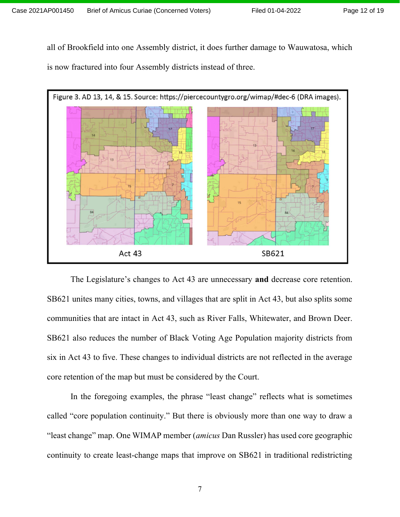Page 12 of 19

all of Brookfield into one Assembly district, it does further damage to Wauwatosa, which is now fractured into four Assembly districts instead of three.



The Legislature's changes to Act 43 are unnecessary and decrease core retention. SB621 unites many cities, towns, and villages that are split in Act 43, but also splits some communities that are intact in Act 43, such as River Falls, Whitewater, and Brown Deer. SB621 also reduces the number of Black Voting Age Population majority districts from six in Act 43 to five. These changes to individual districts are not reflected in the average core retention of the map but must be considered by the Court.

In the foregoing examples, the phrase "least change" reflects what is sometimes called "core population continuity." But there is obviously more than one way to draw a "least change" map. One WIMAP member (amicus Dan Russler) has used core geographic continuity to create least-change maps that improve on SB621 in traditional redistricting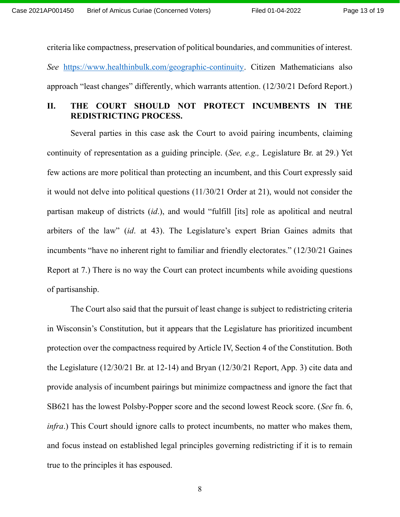criteria like compactness, preservation of political boundaries, and communities of interest. See https://www.healthinbulk.com/geographic-continuity. Citizen Mathematicians also approach "least changes" differently, which warrants attention. (12/30/21 Deford Report.)

## II. THE COURT SHOULD NOT PROTECT INCUMBENTS IN THE REDISTRICTING PROCESS.

Several parties in this case ask the Court to avoid pairing incumbents, claiming continuity of representation as a guiding principle. (See, e.g., Legislature Br. at 29.) Yet few actions are more political than protecting an incumbent, and this Court expressly said it would not delve into political questions (11/30/21 Order at 21), would not consider the partisan makeup of districts (id.), and would "fulfill [its] role as apolitical and neutral arbiters of the law" (id. at 43). The Legislature's expert Brian Gaines admits that incumbents "have no inherent right to familiar and friendly electorates." (12/30/21 Gaines Report at 7.) There is no way the Court can protect incumbents while avoiding questions of partisanship.

The Court also said that the pursuit of least change is subject to redistricting criteria in Wisconsin's Constitution, but it appears that the Legislature has prioritized incumbent protection over the compactness required by Article IV, Section 4 of the Constitution. Both the Legislature (12/30/21 Br. at 12-14) and Bryan (12/30/21 Report, App. 3) cite data and provide analysis of incumbent pairings but minimize compactness and ignore the fact that SB621 has the lowest Polsby-Popper score and the second lowest Reock score. (See fn. 6, infra.) This Court should ignore calls to protect incumbents, no matter who makes them, and focus instead on established legal principles governing redistricting if it is to remain true to the principles it has espoused.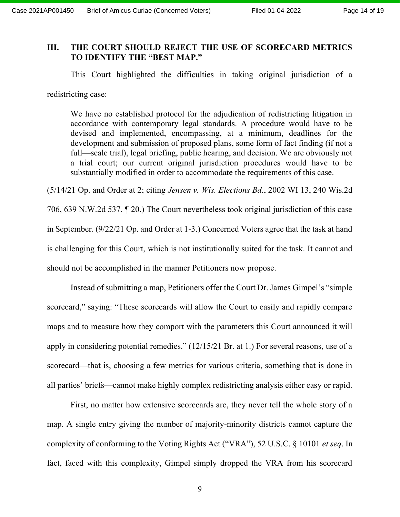## III. THE COURT SHOULD REJECT THE USE OF SCORECARD METRICS TO IDENTIFY THE "BEST MAP."

This Court highlighted the difficulties in taking original jurisdiction of a redistricting case:

We have no established protocol for the adjudication of redistricting litigation in accordance with contemporary legal standards. A procedure would have to be devised and implemented, encompassing, at a minimum, deadlines for the development and submission of proposed plans, some form of fact finding (if not a full—scale trial), legal briefing, public hearing, and decision. We are obviously not a trial court; our current original jurisdiction procedures would have to be substantially modified in order to accommodate the requirements of this case.

(5/14/21 Op. and Order at 2; citing Jensen v. Wis. Elections Bd., 2002 WI 13, 240 Wis.2d 706, 639 N.W.2d 537, ¶ 20.) The Court nevertheless took original jurisdiction of this case in September. (9/22/21 Op. and Order at 1-3.) Concerned Voters agree that the task at hand is challenging for this Court, which is not institutionally suited for the task. It cannot and should not be accomplished in the manner Petitioners now propose.

Instead of submitting a map, Petitioners offer the Court Dr. James Gimpel's "simple scorecard," saying: "These scorecards will allow the Court to easily and rapidly compare maps and to measure how they comport with the parameters this Court announced it will apply in considering potential remedies." (12/15/21 Br. at 1.) For several reasons, use of a scorecard—that is, choosing a few metrics for various criteria, something that is done in all parties' briefs—cannot make highly complex redistricting analysis either easy or rapid.

First, no matter how extensive scorecards are, they never tell the whole story of a map. A single entry giving the number of majority-minority districts cannot capture the complexity of conforming to the Voting Rights Act ("VRA"), 52 U.S.C. § 10101 et seq. In fact, faced with this complexity, Gimpel simply dropped the VRA from his scorecard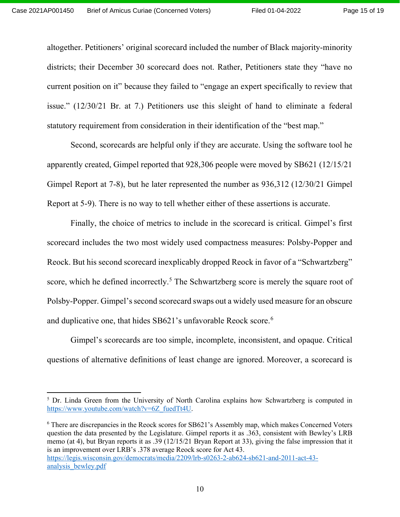altogether. Petitioners' original scorecard included the number of Black majority-minority districts; their December 30 scorecard does not. Rather, Petitioners state they "have no current position on it" because they failed to "engage an expert specifically to review that issue." (12/30/21 Br. at 7.) Petitioners use this sleight of hand to eliminate a federal statutory requirement from consideration in their identification of the "best map."

Second, scorecards are helpful only if they are accurate. Using the software tool he apparently created, Gimpel reported that 928,306 people were moved by SB621 (12/15/21 Gimpel Report at 7-8), but he later represented the number as 936,312 (12/30/21 Gimpel Report at 5-9). There is no way to tell whether either of these assertions is accurate.

Finally, the choice of metrics to include in the scorecard is critical. Gimpel's first scorecard includes the two most widely used compactness measures: Polsby-Popper and Reock. But his second scorecard inexplicably dropped Reock in favor of a "Schwartzberg" score, which he defined incorrectly.<sup>5</sup> The Schwartzberg score is merely the square root of Polsby-Popper. Gimpel's second scorecard swaps out a widely used measure for an obscure and duplicative one, that hides SB621's unfavorable Reock score.<sup>6</sup>

Gimpel's scorecards are too simple, incomplete, inconsistent, and opaque. Critical questions of alternative definitions of least change are ignored. Moreover, a scorecard is

<sup>6</sup> There are discrepancies in the Reock scores for SB621's Assembly map, which makes Concerned Voters question the data presented by the Legislature. Gimpel reports it as .363, consistent with Bewley's LRB memo (at 4), but Bryan reports it as .39 (12/15/21 Bryan Report at 33), giving the false impression that it is an improvement over LRB's .378 average Reock score for Act 43. https://legis.wisconsin.gov/democrats/media/2209/lrb-s0263-2-ab624-sb621-and-2011-act-43 analysis\_bewley.pdf

<sup>&</sup>lt;sup>5</sup> Dr. Linda Green from the University of North Carolina explains how Schwartzberg is computed in https://www.youtube.com/watch?v=6Z\_fuedTt4U.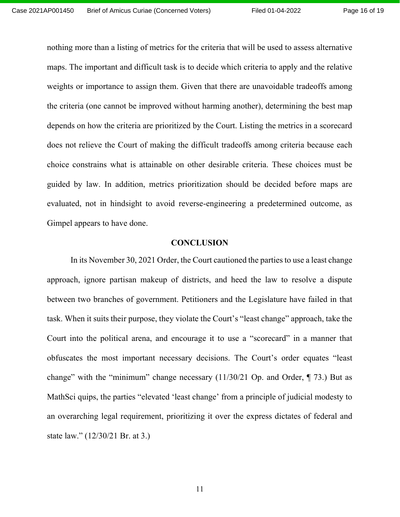nothing more than a listing of metrics for the criteria that will be used to assess alternative maps. The important and difficult task is to decide which criteria to apply and the relative weights or importance to assign them. Given that there are unavoidable tradeoffs among the criteria (one cannot be improved without harming another), determining the best map depends on how the criteria are prioritized by the Court. Listing the metrics in a scorecard does not relieve the Court of making the difficult tradeoffs among criteria because each choice constrains what is attainable on other desirable criteria. These choices must be guided by law. In addition, metrics prioritization should be decided before maps are evaluated, not in hindsight to avoid reverse-engineering a predetermined outcome, as Gimpel appears to have done.

#### **CONCLUSION**

In its November 30, 2021 Order, the Court cautioned the parties to use a least change approach, ignore partisan makeup of districts, and heed the law to resolve a dispute between two branches of government. Petitioners and the Legislature have failed in that task. When it suits their purpose, they violate the Court's "least change" approach, take the Court into the political arena, and encourage it to use a "scorecard" in a manner that obfuscates the most important necessary decisions. The Court's order equates "least change" with the "minimum" change necessary (11/30/21 Op. and Order, ¶ 73.) But as MathSci quips, the parties "elevated 'least change' from a principle of judicial modesty to an overarching legal requirement, prioritizing it over the express dictates of federal and state law." (12/30/21 Br. at 3.)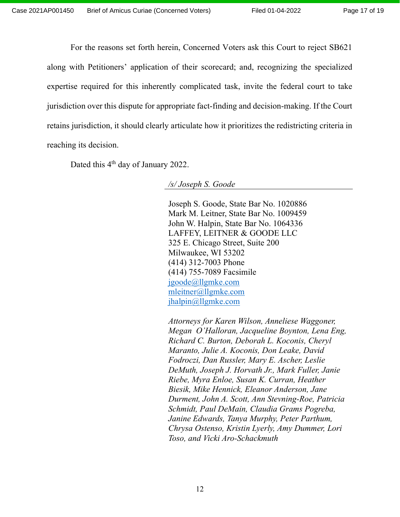For the reasons set forth herein, Concerned Voters ask this Court to reject SB621 along with Petitioners' application of their scorecard; and, recognizing the specialized expertise required for this inherently complicated task, invite the federal court to take jurisdiction over this dispute for appropriate fact-finding and decision-making. If the Court retains jurisdiction, it should clearly articulate how it prioritizes the redistricting criteria in reaching its decision.

Dated this 4<sup>th</sup> day of January 2022.

/s/ Joseph S. Goode

 Joseph S. Goode, State Bar No. 1020886 Mark M. Leitner, State Bar No. 1009459 John W. Halpin, State Bar No. 1064336 LAFFEY, LEITNER & GOODE LLC 325 E. Chicago Street, Suite 200 Milwaukee, WI 53202 (414) 312-7003 Phone (414) 755-7089 Facsimile jgoode@llgmke.com mleitner@llgmke.com jhalpin@llgmke.com

 Attorneys for Karen Wilson, Anneliese Waggoner, Megan O'Halloran, Jacqueline Boynton, Lena Eng, Richard C. Burton, Deborah L. Koconis, Cheryl Maranto, Julie A. Koconis, Don Leake, David Fodroczi, Dan Russler, Mary E. Ascher, Leslie DeMuth, Joseph J. Horvath Jr., Mark Fuller, Janie Riebe, Myra Enloe, Susan K. Curran, Heather Biesik, Mike Hennick, Eleanor Anderson, Jane Durment, John A. Scott, Ann Stevning-Roe, Patricia Schmidt, Paul DeMain, Claudia Grams Pogreba, Janine Edwards, Tanya Murphy, Peter Parthum, Chrysa Ostenso, Kristin Lyerly, Amy Dummer, Lori Toso, and Vicki Aro-Schackmuth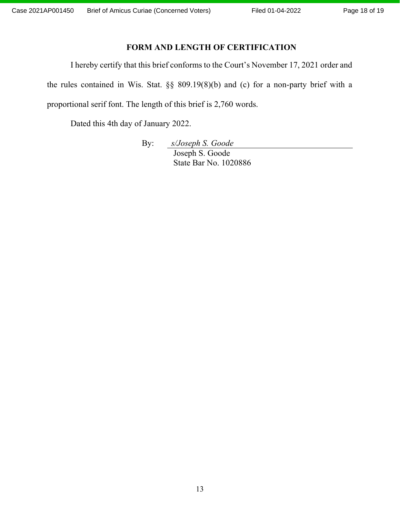## FORM AND LENGTH OF CERTIFICATION

I hereby certify that this brief conforms to the Court's November 17, 2021 order and the rules contained in Wis. Stat. §§ 809.19(8)(b) and (c) for a non-party brief with a proportional serif font. The length of this brief is 2,760 words.

Dated this 4th day of January 2022.

By: s/Joseph S. Goode Joseph S. Goode State Bar No. 1020886